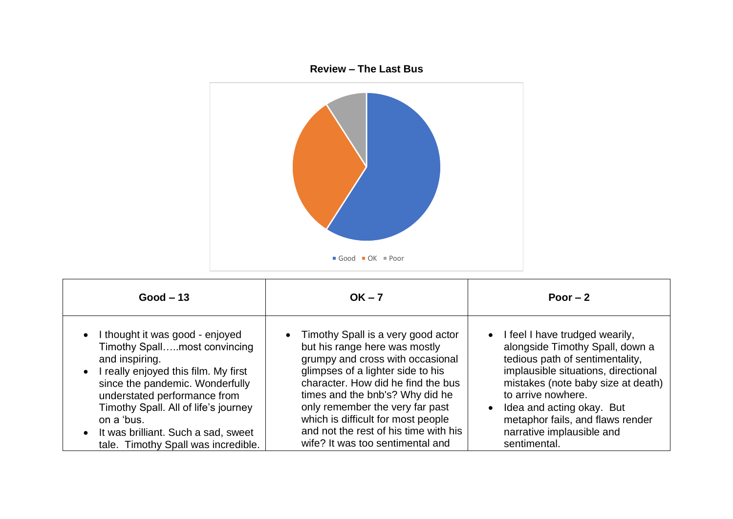

| $Good - 13$                                                                                                                                                                                                                                                                                                                                                  | $OK - 7$                                                                                                                                                                                                                                                                                                                                                                      | Poor $-2$                                                                                                                                                                                                                                                                                                                            |
|--------------------------------------------------------------------------------------------------------------------------------------------------------------------------------------------------------------------------------------------------------------------------------------------------------------------------------------------------------------|-------------------------------------------------------------------------------------------------------------------------------------------------------------------------------------------------------------------------------------------------------------------------------------------------------------------------------------------------------------------------------|--------------------------------------------------------------------------------------------------------------------------------------------------------------------------------------------------------------------------------------------------------------------------------------------------------------------------------------|
| I thought it was good - enjoyed<br>$\bullet$<br>Timothy Spallmost convincing<br>and inspiring.<br>I really enjoyed this film. My first<br>$\bullet$<br>since the pandemic. Wonderfully<br>understated performance from<br>Timothy Spall. All of life's journey<br>on a 'bus.<br>• It was brilliant. Such a sad, sweet<br>tale. Timothy Spall was incredible. | • Timothy Spall is a very good actor<br>but his range here was mostly<br>grumpy and cross with occasional<br>glimpses of a lighter side to his<br>character. How did he find the bus<br>times and the bnb's? Why did he<br>only remember the very far past<br>which is difficult for most people<br>and not the rest of his time with his<br>wife? It was too sentimental and | • I feel I have trudged wearily,<br>alongside Timothy Spall, down a<br>tedious path of sentimentality,<br>implausible situations, directional<br>mistakes (note baby size at death)<br>to arrive nowhere.<br>Idea and acting okay. But<br>$\bullet$<br>metaphor fails, and flaws render<br>narrative implausible and<br>sentimental. |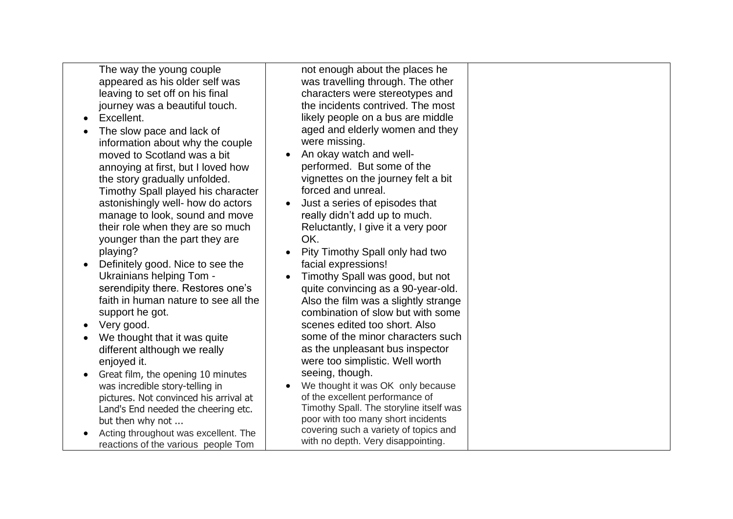The way the young couple appeared as his older self was leaving to set off on his final journey was a beautiful touch.

- Excellent.
- The slow pace and lack of information about why the couple moved to Scotland was a bit annoying at first, but I loved how the story gradually unfolded. Timothy Spall played his character astonishingly well- how do actors manage to look, sound and move their role when they are so much younger than the part they are playing?
- Definitely good. Nice to see the Ukrainians helping Tom serendipity there. Restores one's faith in human nature to see all the support he got.
- Very good.
- We thought that it was quite different although we really enjoyed it.
- Great film, the opening 10 minutes was incredible story-telling in pictures. Not convinced his arrival at Land's End needed the cheering etc. but then why not ...
- Acting throughout was excellent. The reactions of the various people Tom

not enough about the places he was travelling through. The other characters were stereotypes and the incidents contrived. The most likely people on a bus are middle aged and elderly women and they were missing.

- An okay watch and wellperformed. But some of the vignettes on the journey felt a bit forced and unreal.
- Just a series of episodes that really didn't add up to much. Reluctantly, I give it a very poor OK.
- Pity Timothy Spall only had two facial expressions!
- Timothy Spall was good, but not quite convincing as a 90-year-old. Also the film was a slightly strange combination of slow but with some scenes edited too short. Also some of the minor characters such as the unpleasant bus inspector were too simplistic. Well worth seeing, though.
- We thought it was OK only because of the excellent performance of Timothy Spall. The storyline itself was poor with too many short incidents covering such a variety of topics and with no depth. Very disappointing.